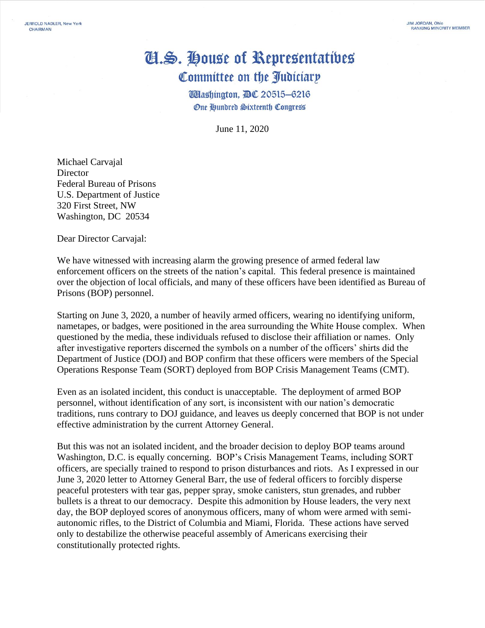## Cl.S. House of Representatives Committee on the Judiciary

**Wlashington, DC 20515-6216 One Hundred Sixteenth Congress** 

June 11, 2020

Michael Carvajal **Director** Federal Bureau of Prisons U.S. Department of Justice 320 First Street, NW Washington, DC 20534

Dear Director Carvajal:

We have witnessed with increasing alarm the growing presence of armed federal law enforcement officers on the streets of the nation's capital. This federal presence is maintained over the objection of local officials, and many of these officers have been identified as Bureau of Prisons (BOP) personnel.

Starting on June 3, 2020, a number of heavily armed officers, wearing no identifying uniform, nametapes, or badges, were positioned in the area surrounding the White House complex. When questioned by the media, these individuals refused to disclose their affiliation or names. Only after investigative reporters discerned the symbols on a number of the officers' shirts did the Department of Justice (DOJ) and BOP confirm that these officers were members of the Special Operations Response Team (SORT) deployed from BOP Crisis Management Teams (CMT).

Even as an isolated incident, this conduct is unacceptable. The deployment of armed BOP personnel, without identification of any sort, is inconsistent with our nation's democratic traditions, runs contrary to DOJ guidance, and leaves us deeply concerned that BOP is not under effective administration by the current Attorney General.

But this was not an isolated incident, and the broader decision to deploy BOP teams around Washington, D.C. is equally concerning. BOP's Crisis Management Teams, including SORT officers, are specially trained to respond to prison disturbances and riots. As I expressed in our June 3, 2020 letter to Attorney General Barr, the use of federal officers to forcibly disperse peaceful protesters with tear gas, pepper spray, smoke canisters, stun grenades, and rubber bullets is a threat to our democracy. Despite this admonition by House leaders, the very next day, the BOP deployed scores of anonymous officers, many of whom were armed with semiautonomic rifles, to the District of Columbia and Miami, Florida. These actions have served only to destabilize the otherwise peaceful assembly of Americans exercising their constitutionally protected rights.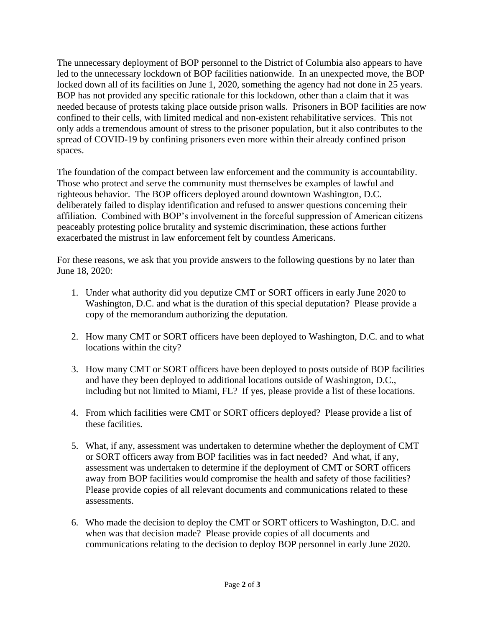The unnecessary deployment of BOP personnel to the District of Columbia also appears to have led to the unnecessary lockdown of BOP facilities nationwide. In an unexpected move, the BOP locked down all of its facilities on June 1, 2020, something the agency had not done in 25 years. BOP has not provided any specific rationale for this lockdown, other than a claim that it was needed because of protests taking place outside prison walls. Prisoners in BOP facilities are now confined to their cells, with limited medical and non-existent rehabilitative services. This not only adds a tremendous amount of stress to the prisoner population, but it also contributes to the spread of COVID-19 by confining prisoners even more within their already confined prison spaces.

The foundation of the compact between law enforcement and the community is accountability. Those who protect and serve the community must themselves be examples of lawful and righteous behavior. The BOP officers deployed around downtown Washington, D.C. deliberately failed to display identification and refused to answer questions concerning their affiliation. Combined with BOP's involvement in the forceful suppression of American citizens peaceably protesting police brutality and systemic discrimination, these actions further exacerbated the mistrust in law enforcement felt by countless Americans.

For these reasons, we ask that you provide answers to the following questions by no later than June 18, 2020:

- 1. Under what authority did you deputize CMT or SORT officers in early June 2020 to Washington, D.C. and what is the duration of this special deputation? Please provide a copy of the memorandum authorizing the deputation.
- 2. How many CMT or SORT officers have been deployed to Washington, D.C. and to what locations within the city?
- 3. How many CMT or SORT officers have been deployed to posts outside of BOP facilities and have they been deployed to additional locations outside of Washington, D.C., including but not limited to Miami, FL? If yes, please provide a list of these locations.
- 4. From which facilities were CMT or SORT officers deployed? Please provide a list of these facilities.
- 5. What, if any, assessment was undertaken to determine whether the deployment of CMT or SORT officers away from BOP facilities was in fact needed? And what, if any, assessment was undertaken to determine if the deployment of CMT or SORT officers away from BOP facilities would compromise the health and safety of those facilities? Please provide copies of all relevant documents and communications related to these assessments.
- 6. Who made the decision to deploy the CMT or SORT officers to Washington, D.C. and when was that decision made? Please provide copies of all documents and communications relating to the decision to deploy BOP personnel in early June 2020.